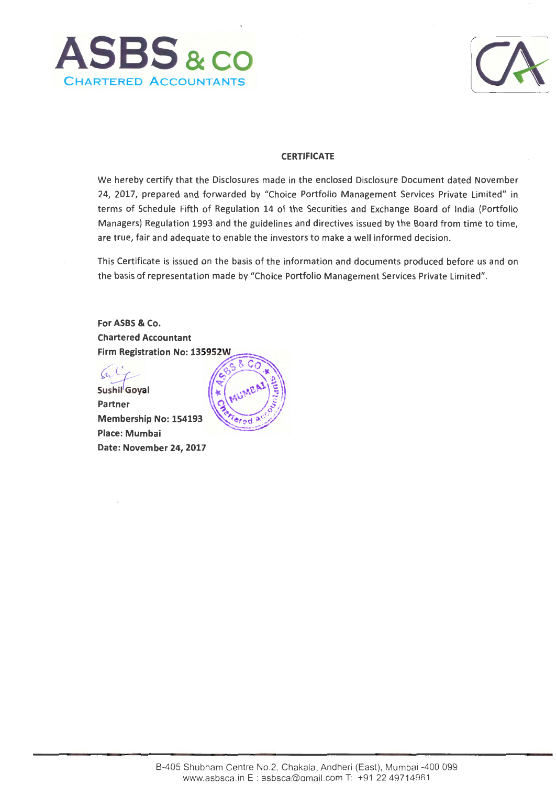



# **CERTIFICATE**

We hereby certify that the Disclosures made in the enclosed Disclosure Document dated November 24, 2017, prepared and forwarded by "Choice Portfolio Management Services Private Limited" in terms of Schedule Fifth of Regulation 14 of the Securities and Exchange Board of India (Portfolio Managers) Regulation 1993 and the guidelines and directives issued by the Board from time to time, ' are true, fair and adequate to enable the investors to make a well informed decision.

This Certificate is issued on the basis of the information and documents produced before us and on the basis of representation made by "Choice Portfolio Management Services Private Limited".

**For ASBS & Co. Chartered Accountant** Firm Registration No: 135952W

Sushil Goyal Partner Membership No: 154193 **Place: Mumbai Date: November 24,2017** 

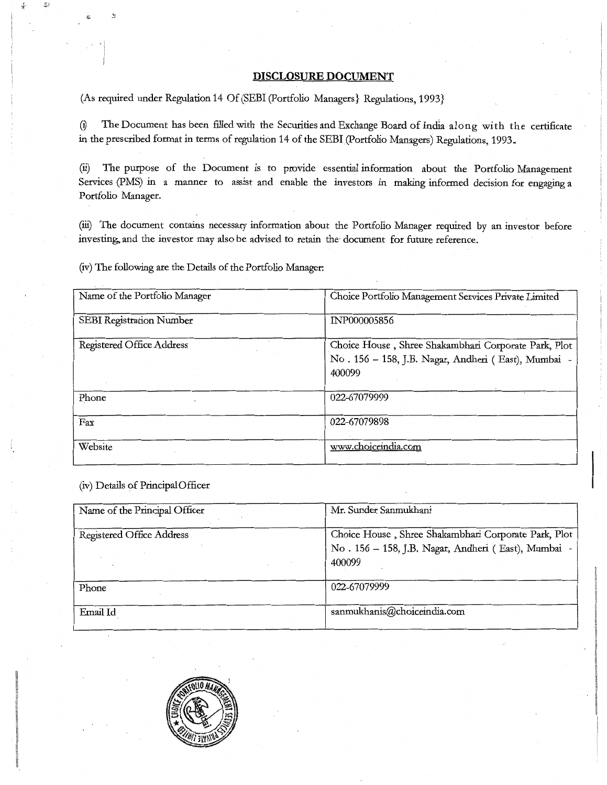## **DISCLOSURE DOCUMENT**

(As required under Regulation 14 Of (SEBI (Portfolio Managers) Regulations, 1993)

(i) The Document has been filled with the Securities and Exchange Board of India along with the certificate in the prescribed format in terms of regulation 14 of the SEBI (Portfolio Managers) Regulations, 1993.

(ii) The purpose of the Document is to provide essential information about the Portfolio Management Services (PMS) in a manner to assist and enable the investors in making informed decision for engaging a Portfolio Manager.

(iii) The document contains necessary information about the Portfolio Manager required by an investor before investing, and the investor may also be advised to retain the document for future reference.

(iv) The following are the Details of the Portfolio Manager:

| Name of the Portfolio Manager    | Choice Portfolio Management Services Private Limited                                                                  |
|----------------------------------|-----------------------------------------------------------------------------------------------------------------------|
| SEBI Registration Number         | INP000005856                                                                                                          |
| <b>Registered Office Address</b> | Choice House, Shree Shakambhari Corporate Park, Plot<br>No. 156 - 158, J.B. Nagar, Andheri (East), Mumbai -<br>400099 |
| Phone                            | 022-67079999                                                                                                          |
| Fax                              | 022-67079898                                                                                                          |
| Website                          | www.choiceindia.com                                                                                                   |

(iv) Details of Principal Officer

| Name of the Principal Officer    | Mr. Sunder Sanmukhani                                                                                                 |
|----------------------------------|-----------------------------------------------------------------------------------------------------------------------|
| <b>Registered Office Address</b> | Choice House, Shree Shakambhari Corporate Park, Plot<br>No. 156 - 158, J.B. Nagar, Andheri (East), Mumbai -<br>400099 |
| Phone                            | 022-67079999                                                                                                          |
| Email Id                         | sanmukhanis@choiceindia.com                                                                                           |

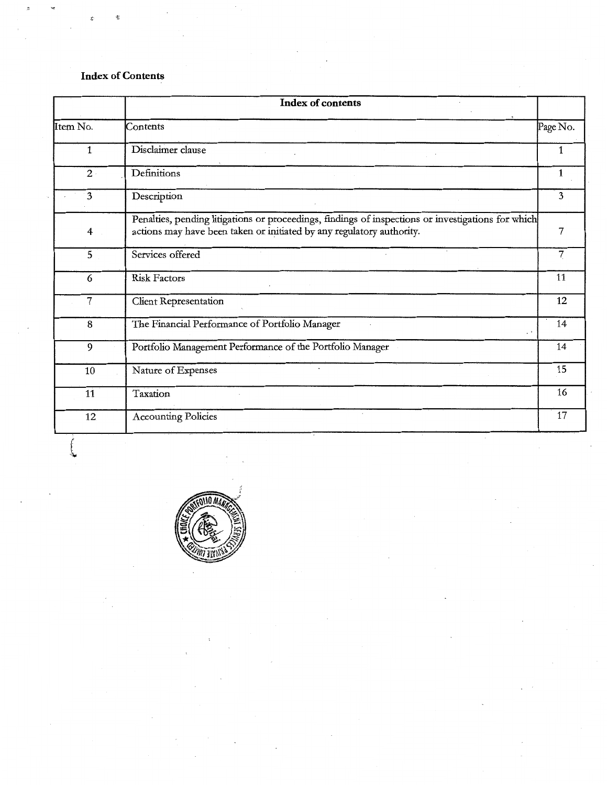# **Index of Contents**

| <b>Index of contents</b> |                                                                                                                                                                             |          |  |  |
|--------------------------|-----------------------------------------------------------------------------------------------------------------------------------------------------------------------------|----------|--|--|
| Item No.                 | Contents                                                                                                                                                                    | Page No. |  |  |
| 1                        | Disclaimer clause                                                                                                                                                           |          |  |  |
| $2^{\circ}$              | Definitions                                                                                                                                                                 | 1        |  |  |
| $\overline{\mathbf{3}}$  | Description                                                                                                                                                                 | 3        |  |  |
| 4                        | Penalties, pending litigations or proceedings, findings of inspections or investigations for which<br>actions may have been taken or initiated by any regulatory authority. | 7        |  |  |
| 5                        | Services offered                                                                                                                                                            | 7        |  |  |
| 6                        | <b>Risk Factors</b>                                                                                                                                                         | 11       |  |  |
| 7                        | <b>Client Representation</b>                                                                                                                                                | 12       |  |  |
| 8                        | The Financial Performance of Portfolio Manager                                                                                                                              | 14       |  |  |
| $\overline{9}$           | Portfolio Management Performance of the Portfolio Manager                                                                                                                   | 14       |  |  |
| 10                       | Nature of Expenses                                                                                                                                                          | 15       |  |  |
| 11                       | Taxation                                                                                                                                                                    | 16       |  |  |
| 12                       | <b>Accounting Policies</b>                                                                                                                                                  | 17       |  |  |

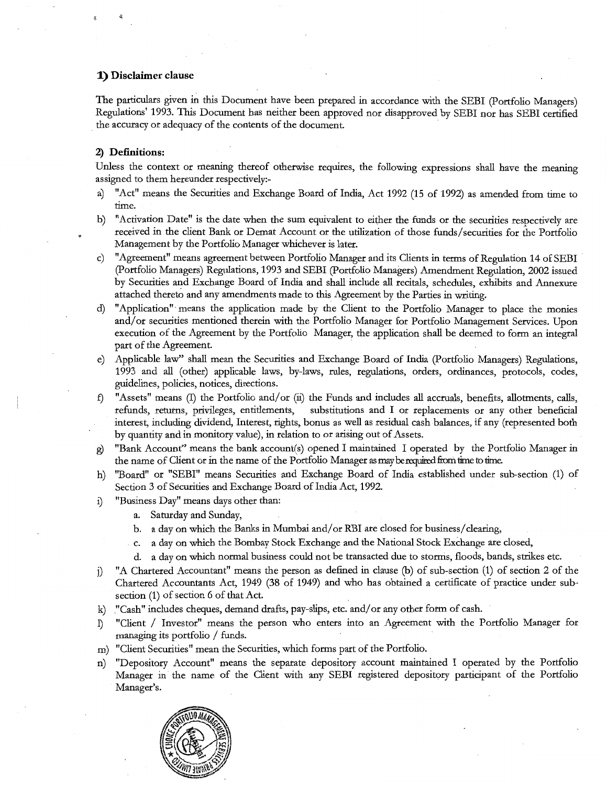## **1) Disclaimer clause**

The particulars given in this Document have been prepared in accordance with the SEBI (Portfolio Managers) Regulations' 1993. This Document has neither been approved nor disapproved by SEBI nor has SEBI certified . the accuracy or adequacy of the contents of the document.

## **2) Definitions:**

Unless the context or meaning thereof otherwise requires, the following expressions shall have the meaning assigned to them hereunder respectively:-

- a) "Act" means the Securities and Exchange Board of India, Act 1992 (15 of 1992) as amended from time to time.
- b) "Activation Date" is the date when the sum equivalent to either the funds or the securities respectively are received in the client Bank or Demat Account or the utilization of those funds/securities for the Portfolio Management by the Portfolio Manager whichever is later.
- c) "Agreement" means agreement between Portfolio Manager and its Clients in terms of Regulation 14 of SEBI (Portfolio Managers) Regulations, 1993 and SEBI (Portfolio Managers) Amendment Regulation, 2002 issued by Securities and Exchange Board of India and shall include all recitals, schedules, exhibits and Annexure attached thereto and any amendments made to this Agreement by the Parties in writing.
- d) "Application" means the application made by the Client to the Portfolio Manager to place the monies and/ or securities mentioned therein with the Portfolio Manager for Portfolio Management Services. Upon execution of the Agreement by the Portfolio Manager, the application shall be deemed to form an integral part of the Agreement.
- e) Applicable law'' shall mean the Securities and Exchange Board of India (Portfolio Managers) Regulations, 1993 and all (other) applicable laws, by-laws, rules, regulations, orders, ordinances, protocols, codes, guidelines, policies, notices, directions.
- "Assets" means (I) the Portfolio and/or (ii) the Funds and includes all accruals, benefits, allotments, calls, refunds, retutns, privileges, entitlements, substitutions and I or replacements or any other beneficial interest, including dividend, Interest, rights, bonus as well as residual cash balances, if any (represented both by quantity and in monitory value), in relation to or arising out of Assets.
- <sup>~</sup>"Bank Account" means the bank account(s) opened I maintained I operated by the Portfolio Manager in the name of Client or in the name of the Portfolio Manager as may be required from time to time.
- h) "Board" or "SEBI" means Securities and Exchange Board of India established under sub-section (1) of Section 3 of Securities and Exchange Board of India Act, 1992.
- i) "Business Day" means days other than:
	- a. Saturday and Sunday,
	- b. a day on which the Banks in Mumbai and/or RBI are closed for business/clearing,
	- c. a day on which the Bombay Stock Exchange and the National Stock Exchange are closed,
	- d. a day on which normal business could not be transacted due to storms, floods, bands, strikes etc.
- j) "A Chartered Accountant" means the person as defined in clause (b) of sub-section (1) of section 2 of the Chartered Accountants Act, 1949 (38 of 1949) and who has obtained a certificate of practice under subsection (1) of section 6 of that Act.
- k) "Cash" includes cheques, demand drafts, pay-slips, etc. and/ or any other form of cash.
- 1) "Client / Investor" means the person who enters into an Agreement with the Portfolio Manager for managing its portfolio / funds.
- m) "Client Securities" mean the Securities, which forms part of the Portfolio.
- n) "Depository Account" means the separate depository account maintained I operated by the Portfolio Manager in the name of the Client with any SEBI registered depository participant of the Portfolio Manager's.

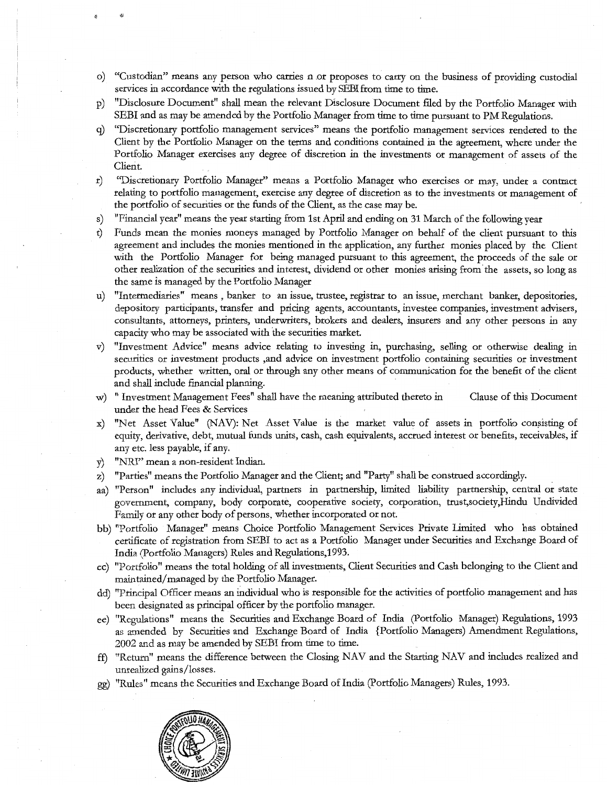- o) "Custodian" means any person who carries n or proposes to carry on the business of providing custodial services in accordance with the regulations issued by SEBI from time to time.
- p) "Disclosure Document" shall mean the relevant Disclosure Document filed by the Portfolio Manager with SEBI and as may be amended by the Portfolio Manager from time to time pursuant to PM Regulations.
- g) "Discretionary portfolio management services" means the portfolio management services rendered to the Client by the Portfolio Manager on the terms and conditions contained in the agreement, where under the Portfolio Manager exercises any degree of discretion in the investments or management of assets of the Client.
- r) ''Discretionary Portfolio Manager" means a Portfolio Manager who exercises or may, under a contract relating to portfolio management, exercise any degree of discretion as to the investments or management of the portfolio of securities or the funds of the Client, as the case may be.
- s) "Financial year" means the year starting from 1st April and ending on 31 March of the following year
- t) Funds mean the monies moneys managed by Portfolio Manager on behalf of the client pursuant to this agreement and includes the monies mentioned in the application, any further monies placed by the Client with the Portfolio Manager for being managed pursuant to this agreement, the proceeds of the sale or other realization of the securities and interest, dividend or other monies arising from' the assets, so long as the same is managed by the Portfolio Manager
- u) "Intermediaries" means , banker to an issue, trustee, registrar to an issue, merchant banker, depositories, depository participants, transfer and pricing agents, accountants, investee companies, investment advisers, consultants, attorneys, printers, underwriters, brokers and dealers, insurers and any other persons in any capacity who may be associated with the securities market.
- v) "Investment Advice" means advice relating to investing in, purchasing, selling or otherwise dealing in securities or investment products ,and advice on investment portfolio containing securities or investment products, whether written, oral or through any other means of communication for the benefit of the client and shall include financial planning.
- w) " Investment Management Fees" shall have the meaning attributed thereto in Clause of this Document under the head Fees & Services
- x) "Net Asset Value" (NAV): Net Asset Value is the market value of assets in portfolio consisting of equity, derivative, debt, mutual funds units, cash, cash equivalents, accrued interest or benefits, receivables, if any etc. less payable, if any.
- y) "NRI" mean a non-resident Indian.
- z) "Parties" means the Portfolio Manager and the Client; and "Party" shall be construed accordingly. .
- aa) "Person" includes any individual, partners in partnership, limited liability partnership, central or state government, company, body corporate, cooperative society, corporation, trust,society,Hindu Undivided Family or any other body of persons, whether incorporated or not.
- bb) "Portfolio Manager" means Choice Portfolio Management Services Private Limited who has obtained certificate of registration from SEBI to act as a Portfolio Manager under Securities and Exchange Board of India (Portfolio Managers) Rules and Regulations,1993.
- cc) "Portfolio" means the total holding of all investments, Client Securities and Cash belonging to the Client and maintained/managed by the Portfolio Manager.
- dd) "Principal Officer means an individual who is responsible for the activities of portfolio management and has been designated as principal officer by the portfolio manager.
- ee) "Regulations" means the Securities and Exchange Board of India (Portfolio Manager) Regulations, 1993 as amended by Securities and Exchange Board of India {Portfolio Managers) Amendment Regulations, 2002 and as may be amended by SEBI from time to time.
- ff) "Return" means the difference between the Closing NAV and the Starting NAV and includes realized and unrealized gains /losses.
- gg) ''Rules" means the Securities and Exchange Board of India (Portfolio Managers) Rules, 1993.

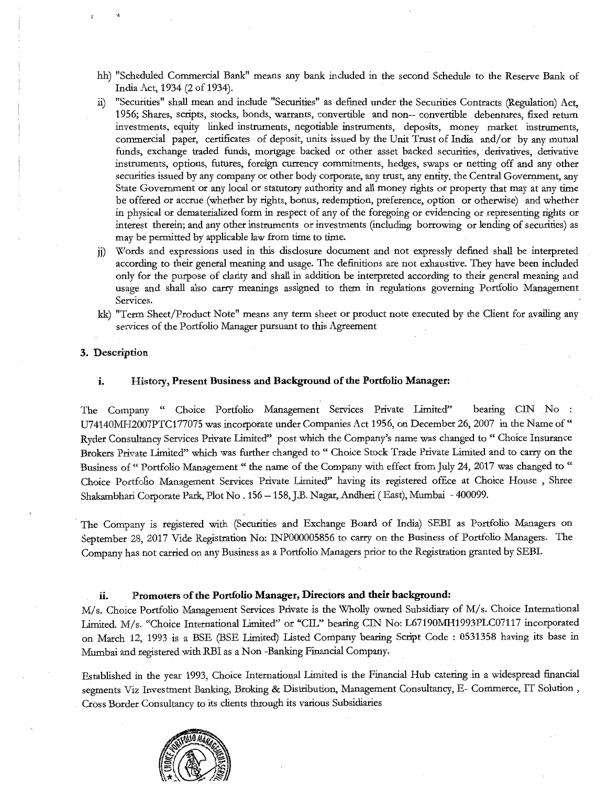- hh) "Scheduled Commercial Bank" means any bank included in the second Schedule to the Reserve Bank of India Act, 1934 (2 of 1934).
- ii) "Securities" shall mean and include "Securities" as defined under the Securities Contracts (Regulation) Act, 1956; Shares, scripts, stocks, bonds, warrants, convertible and non-- convertible debentures, fixed return investments, equity linked instruments, negotiable instruments, deposits, money market instruments, commercial paper, certificates of deposit, units issued by the Unit Trust of India and/or by any mutual funds, exchange traded funds, mortgage backed or other asset backed securities, derivatives, derivative instruments, options, futures, foreign currency commitments, hedges, swaps or netting off and any other securities issued by any company or other body corporate, any trust, any entity, the Central Government, any State Government or any local or statutory authority and all money rights or property that may at any time be offered or accrue (whether by rights, bonus, redemption, preference, option or otherwise) and whether in physical or dematerialized form in respect of any of the foregoing or evidencing or representing rights or interest therein; and any other instruments or investments (including borrowing or lending of securities) as may be permitted by applicable law from time to time.
- jj) Words and expressions used in this disclosure document and not expressly defined shall be interpreted according to their general meaning and usage. The definitions are not exhaustive. They have been included only for the purpose of clarity and shall in addition be interpreted according to their general meaning and usage and shall also carry meanings assigned to them in regulations governing Portfolio Management Services.
- kk) "Term Sheet/Product Note'' means any term sheet or product note executed by the Client for availing any services of the Portfolio Manager pursuant to this Agreement

### **3.** Description

#### **i.** History, Present **Business and Background of the Portfolio Manager:**

The Company " Choice Portfolio Management Services Private Limited" bearing CIN No : U74140MH2007PTC177075 was incorporate under Companies Act 1956, on December 26, 2007 in the Name of " Ryder Consultancy Services Private Limited" post which the Company's name was changed to " Choice Insurance Brokers Private Limited" which was further changed to " Choice Stock Trade Private Limited and to carry on the Business of " Portfolio Management " the name of the Company with effect from July 24, 2017 was changed to " Choice Portfolio Management Services Private Limited" having its registered office at Choice House , Shree Shakambhari Corporate Park, Plot No. 156 -158,J.B. Nagar, Andheri (East), Mumbai -400099.

The Company is registered with (Securities and Exchange Board of India) SEBI as Portfolio Managers on September 28, 2017 Vide Registration No: INP000005856 to carry on the Business of Portfolio Managers. The Company has not carried on any Business as a Portfolio Managers prior to the Registration granted by SEBI.

# **ii.** Promoters of **the Portfolio Manager, Directors and their background:**

M/s. Choice Portfolio Management Services Private is the Wholly owned Subsidiary of M/s. Choice International Limited. M/s. "Choice International Limited" or "CIL" bearing CIN No: L67190MH1993PLC07117 incorporated on March 12, 1993 is a BSE (BSE Limited) Listed Company bearing Script Code : 0531358 having its base in Mumbai and registered with RBI as a Non-Banking Financial Company,

Established in the year 1993, Choice International Limited is the Financial Hub catering in a widespread financial segments Viz Investment Banking, Broking & Distribution, Management Consultancy, E- Commerce, IT Solution, Cross Border Consultancy to its clients through its various Subsidiaries

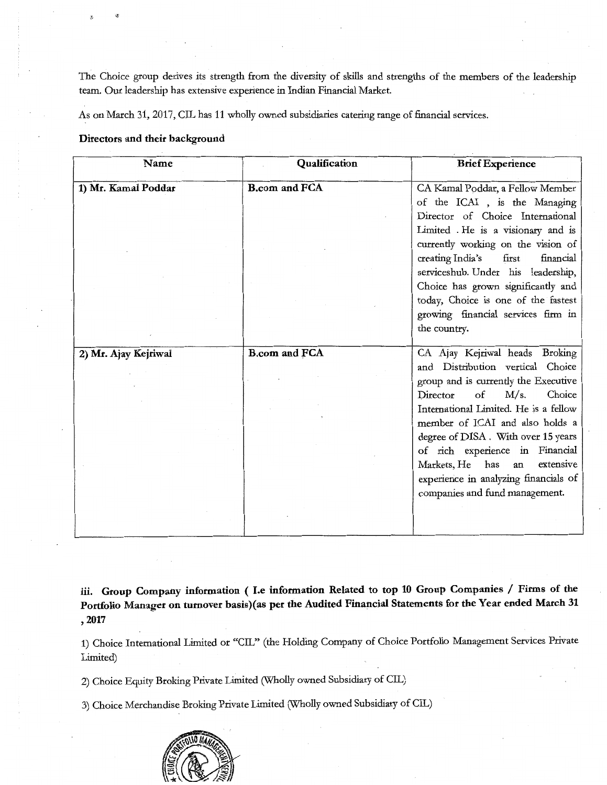The Choice group derives its strength from the diversity of skills and strengths of the members of the leadership team. Our leadership has extensive experience in Indian Financial Market.

As on March 31, 2017, CIL has 11 wholly owned subsidiaries catering range of financial services.

# Directors and their background

| Name                 | Qualification        | <b>Brief Experience</b>                                                                                                                                                                                                                                                                                                                                                                                                       |
|----------------------|----------------------|-------------------------------------------------------------------------------------------------------------------------------------------------------------------------------------------------------------------------------------------------------------------------------------------------------------------------------------------------------------------------------------------------------------------------------|
| 1) Mr. Kamal Poddar  | <b>B.com and FCA</b> | CA Kamal Poddar, a Fellow Member<br>of the ICAI, is the Managing<br>Director of Choice International<br>Limited . He is a visionary and is<br>currently working on the vision of<br>creating India's<br>first<br>financial<br>serviceshub. Under his leadership,<br>Choice has grown significantly and<br>today, Choice is one of the fastest<br>growing financial services firm in<br>the country.                           |
| 2) Mr. Ajay Kejriwal | <b>B.com and FCA</b> | CA Ajay Kejriwal heads Broking<br>and Distribution vertical Choice<br>group and is currently the Executive<br>$\sigma$<br>M/s.<br>Choice<br>Director<br>International Limited. He is a fellow<br>member of ICAI and also holds a<br>degree of DISA. With over 15 years<br>of rich experience in Financial<br>Markets, He<br>has<br>extensive<br>an<br>experience in analyzing financials of<br>companies and fund management. |
|                      |                      |                                                                                                                                                                                                                                                                                                                                                                                                                               |

iii. Group Company information ( I.e information Related to top 10 Group Companies / Firms of the Portfolio Manager on turnover basis)(as per the Audited Financial Statements for the Year ended March 31 '2017

1) Choice International Limited or "CIL" (the Holding Company of Choice Portfolio Management Services Private Limited)

2) Choice Equity Broking Private Limited (Wholly owned Subsidiary of CIL)

3) Choice Merchandise Broking Private Limited (Wholly owned Subsidiary of CIL)

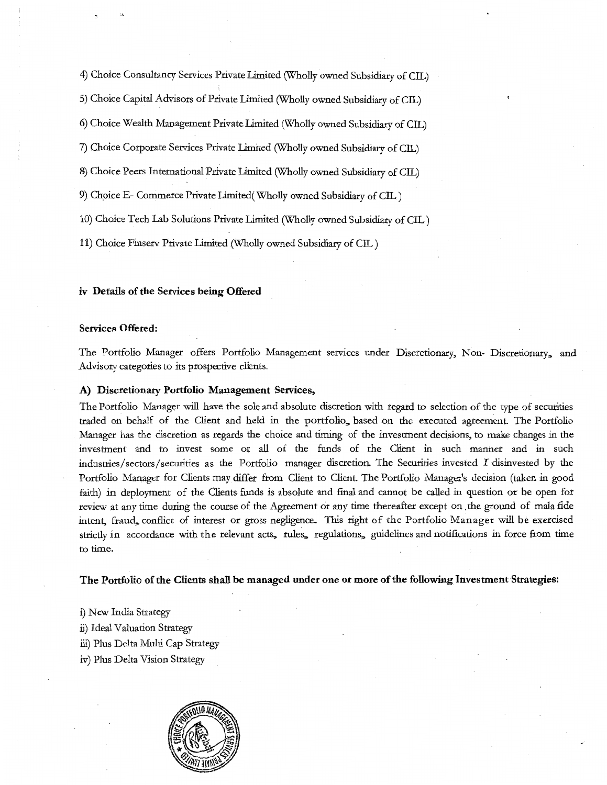4) Choice Consultancy Services Private llmited (Wholly owned Subsidiary of CIL)

5) Choice Capital Advisors of Private Limited (Wholly owned Subsidiary of CIL)

6) Choice Wealth Management Private Limited (Wholly owned Subsidiary of CIL)

7) Choice Corporate Services Private Limited (Wholly owned Subsidiary of CIL)

8) Choice Peers International Private Limited (Wholly owned Subsidiary of CIL)

9) Choice E- Commerce Private Limited( Wholly owned Subsidiary of CIL)

10) Choice Tech Lab Solutions Private llmited (Wholly owned Subsidiary of CIL)

11) Choice Finserv Private Limited (Wholly owned Subsidiary of CIL)

#### iv Details of the Services being Offered

#### Services Offered:

The Portfolio Manager offers Portfolio Management services under Discretionary, Non- Discretionary, and Advisory categories to its prospective clients.

#### A) Discretionary Portfolio Management Services,

The Portfolio Manager will have the sole and absolute discretion with regard to selection of the type of securities traded on behalf of the Client and held in the portfolio, based on the executed agreement. The Portfolio Manager has the discretion as regards the choice and riming of the investment dedsions, to make changes in the investment and to invest some or all of the funds of the Client in such manner and in such industries/sectors/securities as the Portfolio manager discretion. The Securities invested  $I$  disinvested by the Portfolio Manager for Clients may differ from Client to Client. The Portfolio Manager's decision (taken in good faith) in deployment of the Clients funds is absolute and final and cannot be called in question or be open for review at any time during the course of the Agreement or any time thereafter except on the ground of mala fide intent, fraud, conflict of interest or gross negligence. This right of the Portfolio Manager will be exercised strictly in accordance with the relevant acts, rules, regulations, guidelines and notifications in force from time to time.

#### The Portfolio of the Clients shall be managed under one or more of the following Investment Strategies:

- i) New India Strategy
- ii) Ideal Valuation Strategy
- iii) Plus Delta Multi Cap Strategy
- iv) Plus Delta Vision Strategy

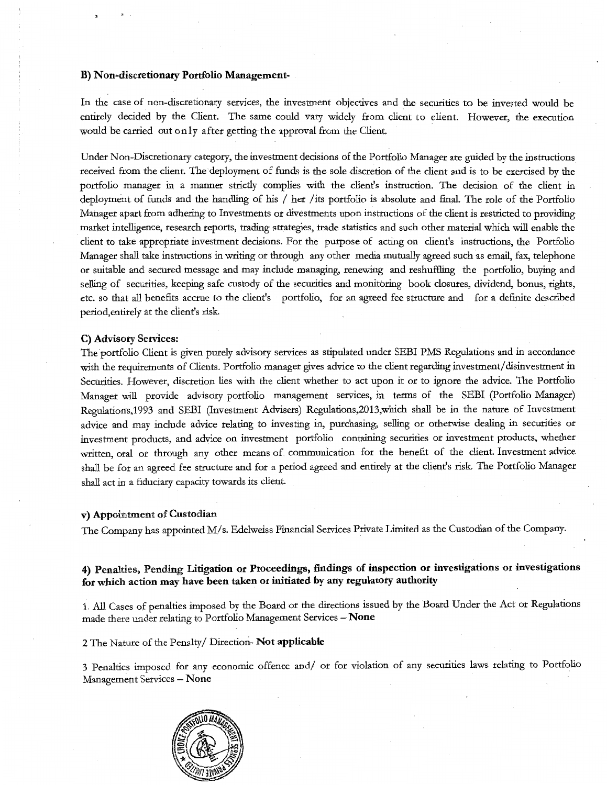#### B) Non-discretionary Portfolio Management-

In the case of non-discretionary services, the investment objectives and the securities to be invested would be entirely decided by the Client. The same could vary widely from client to client. However, the execution would be carried out only after getting the approval from the Client.

Under Non-Discretionary category, the investment decisions of the Portfolio Manager are guided by the instructions received from the client. The deployment of funds is the sole discretion of the client and is to be exercised by the portfolio manager in a manner strictly complies with the client's instruction. The decision of the client in deployment of funds and the handling of his / her /its portfolio is absolute and final. The role of the Portfolio Manager apart from adhering to Investments or divestments upon instructions of the client is restricted to providing market intelligence, research reports, trading strategies, trade statistics and such other material which will enable the client to take appropriate investment decisions. For the purpose of acting on client's instructions, the Portfolio Manager shall take instructions in writing or through any other media mutually agreed such as email, fax, telephone or suitable and secured message and may include managing, renewing and reshuffling the portfolio, buying and selling of securities, keeping safe custody of the securities and monitoring book closures, dividend, bonus, rights, etc. so that all benefits accrue to the client's portfolio, for an agreed fee structure and for a definite described period, entirely at the client's risk.

#### C) Advisory Services:

The portfolio Client is given purely advisory services as stipulated under SEBI PMS Regulations and in accordance with the requirements of Clients. Portfolio manager gives advice to the client regarding investment/disinvestment in Securities. However, discretion lies with the client whether to act upon it or to ignore the advice. The Portfolio Manager will provide advisory portfolio management services, in terms of the SEBI (Portfolio Manager) Regulations,1993 and SEBI (Investment Advisers) Regulations,2013,which shall be in the nature of Investment advice and may include advice relating to investing in, purchasing, selling or otherwise dealing in securities or investment products, and advice on investment portfolio containing securities or investment products, whether written, oral or through any other means of communication for the benefit of the client. Investment advice shall be for an agreed fee structure and for a period agreed and entirely at the client's risk. The Portfolio Manager shall act in a fiduciary capacity towards its client.

#### v) Appointment of Custodian

The Company has appointed M/s. Edelweiss Financial Services Private Limited as the Custodian of the Company.

# 4) Penalties, Pending Litigation or Proceedings, findings of inspection or investigations or investigations for which action may have been taken or initiated by any regulatory authority

1. All Cases of penalties imposed by the Board or the directions issued by the Board Under the Act or Regulations made there under relating to Portfolio Management Services  $-$  None

## 2 The Nature of the Penalty/ Direction- Not applicable

3 Penalties imposed for any economic offence and/ or for violation of any securities laws relating to Portfolio Management Services- None

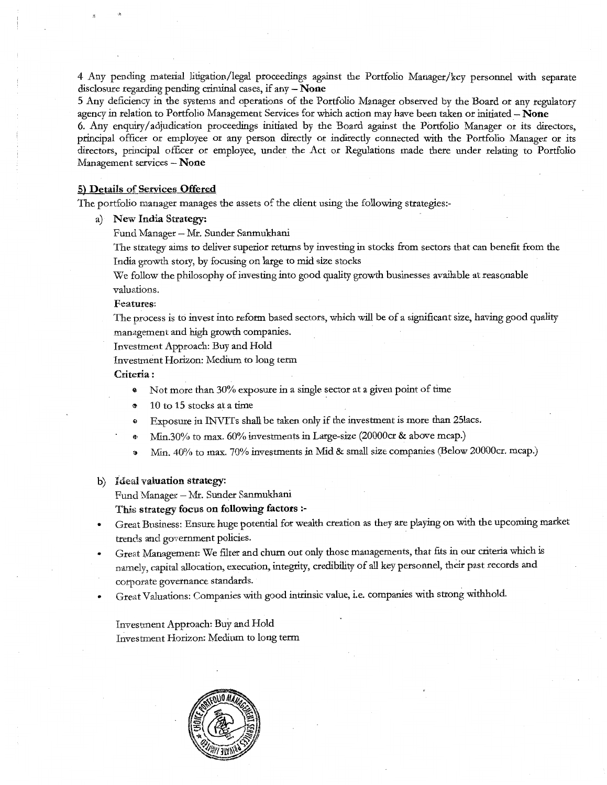4 Any pending material litigation/legal proceedings against the Portfolio Manager/key personnel with separate disclosure regarding pending criminal cases, if any - None

5 Any deficiency in the systems and operations of the Portfolio Manager observed by the Board or any regulatory agency in relation to Portfolio Management Services for which action may have been taken or initiated - None

6. Any enquiry/adjudication proceedings initiated by the Board against the Portfolio Manager or its directors, principal officer or employee or any person directly or indirectly connected with the Portfolio Manager or its directors, principal officer or employee, under the Act or Regulations made there under relating to Portfolio Management services - None

#### 5) Details of Services Offered

The portfolio manager manages the assets of the client using the following strategies:-

a) New India Strategy:

Fund Manager- Mr. Sunder Sanmukhani

The strategy aims to deliver superior returns by investing in stocks from sectors that can benefit from the India growth story, by focusing on large to mid size stocks

We follow the philosophy of investing into good quality growth businesses available at reasonable valuations.

#### Features:

The process is to invest into reform based sectors, which will be of a significant size, having good quality management and high growth companies.

Investment Approach: Buy and Hold

Investment Horizon: Medium to long term

#### Criteria:

- Not more than 30% exposure in a single sector at a given point of time
- 10 to 15 stocks at a time
- <sup>G</sup>Exposure in INVITs shall be taken only if the investment is more than 25lacs.
- ~' Min.30% to max. 60% investments in Large-size (20000cr & above mcap.)
- o Min. 40% to max. 70% investments in Mid & small size companies (Below 20000cr. mcap.)

#### b) Ideal valuation strategy:

Fund Manager - Mr. Sunder Sanmukhani

#### This strategy focus on following factors :-

- Great Business: Ensure huge potential for wealth creation as they are playing on with the upcoming market trends and government policies.
- Great Management: We filter and churn out only those managements, that fits in our criteria which is namely, capital allocation, execution, integrity, credibility of all key personnel, their past records and corporate governance standards.
- Great Valuations: Companies with good intrinsic value, i.e. companies with strong withhold .

Investment Approach: Buy and Hold Investment Horizon: Medium to long term

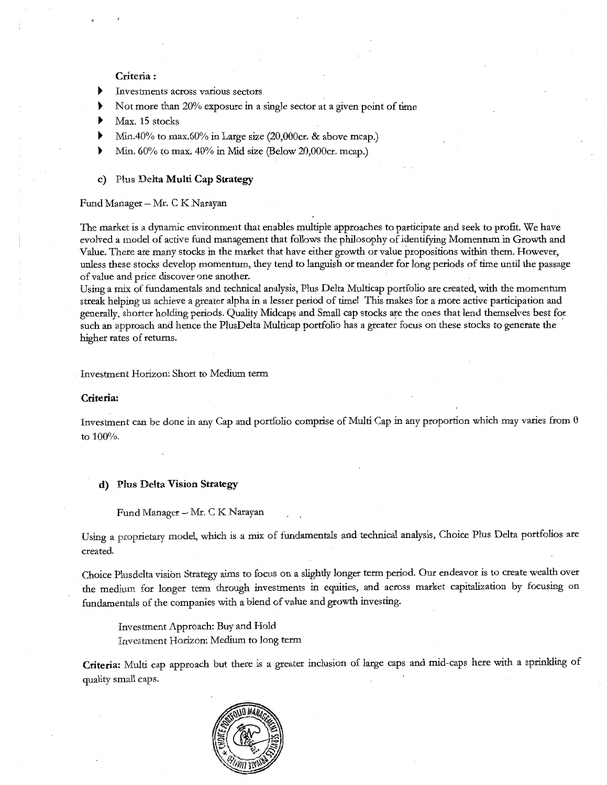## Criteria:

- Investments across various sectors
- Not more than 20% exposure in a single sector at a given point of time
- Max. 15 stocks
- Min.40% to max.60% in Large size (20,000cr. & above mcap.)
- Min. 60% to max. 40% in Mid size (Below 20,000cr. mcap.)
- c) Plus Delta Multi Cap Strategy

#### Fund Manager - Mr. C K Narayan

The market is a dynamic environment that enables multiple approaches to participate and seek to profit. We have evolved a model of active fund management that follows the philosophy of identifying Momentum in Growth and Value. There are many stocks in the market that have either growth or value propositions within them. However, unless these stocks develop momentum, they tend to languish or meander for long periods of time until the passage of value and price discover one another.

Using a mix of fundamentals and technical analysis, Plus Delta Multicap portfolio are created, with the momentum streak helping us achieve a greater alpha in a lesser period of time! This makes for a more active participation and generally, shorter holding periods. Quality Midcaps and Small cap stocks are the ones that lend themselves best for such an approach and hence the PlusDelta Multicap portfolio has a greater focus on these stocks to generate the higher rates of returns.

Investment Horizon: Short to Medium term

#### Criteria:

Investment can be done in any Cap and portfolio comprise of Multi Cap in any proportion which may varies from 0 to 100%.

## d) Plus Delta Vision Strategy

Fund Manager  $-$  Mr. C K Narayan

Using a proprietary model, which is a mix of fundamentals and technical analysis, Choice Plus Delta portfolios are created.

Choice Plusdelta vision Strategy aims to focus on a slightly longer term period. Our endeavor *is* to create wealth over the medium for longer term through investments in equities, and across market capitalization by focusing on fundamentals of the companies with a blend of value and growth investing.

Investment Approach: Buy and Hold Investinent Horizon: Medium to long term

Criteria: Multi cap approach but there is a greater inclusion of large caps and mid-caps here with a sprinkling of quality small caps.

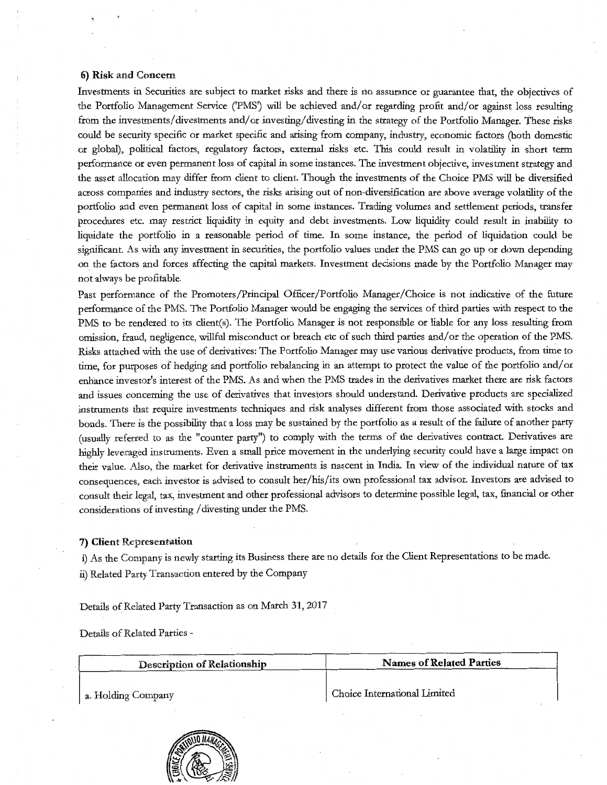## **6) Risk** and Concern

Investments in Securities ate subject to market risks and there is no assurance or guarantee that, the objectives of the Portfolio Management Service (PMS') will be achieved and/ or regarding profit and/ or against loss resulting from the investments/ divestments and/ or investing/ divesting in the strategy of the Portfolio Manager. These risks could be security specific or market specific and arising from company, industry, economic factors (both domestic or global), political factors, regulatory factors, external risks etc. This could result in volatility in short term performance or even permanent loss of capital in some instances. The investment objective, investment strategy and the asset allocation may differ from client to client. Though the investments of the Choice PMS will be diversified across companies and industry sectors, the risks arising out of non-diversification ate above average volatility of the portfolio and even permanent loss of capital in some instances. Trading volumes and settlement periods, transfer procedures etc. may restrict liquidity in equity and debt investments. Low liquidity could result in inability to liquidate the portfolio in a reasonable period of time. In some instance, the period of liquidation could be significant. As with any investment in securities, the portfolio values under the PMS can go up or down depending on the factors and forces affecting the capital markets. Investment decisions made by the Portfolio Manager may not always be profitable.

Past performance of the Promoters/Principal Officer/Portfolio Manager/Choice is not indicative of the future performance of the PMS. The Portfolio Manager would be engaging the services of third patties with respect to the PMS to be rendered to its client(s). The Portfolio Manager is not responsible or liable for any loss resulting from omission, fraud, negligence, willful misconduct or breach etc of such third parties and/ or the operation of the PMS. Risks attached with the use of derivatives: The Portfolio Manager may use various derivative products, from time to time, for purposes of hedging and portfolio rebalancing in an attempt to protect the value of the portfolio and/ or enhance investor's interest of the PMS. As and when the PMS trades in the derivatives market there ate risk factors and issues concerning the use of derivatives that investors should understand. Derivative products ate specialized instruments that require investments techniques and risk analyses different from those associated with stocks and bonds. There is the possibility that a loss may be sustained by the portfolio as a result of the failure of another patty (usually referred to as the "counter patty") to comply with the terms of the derivatives contract. Derivatives ate highly leveraged instruments. Even a small price movement in the underlying security could have a large impact on their value. Also, the market for derivative instruments is nascent in India. In view of the individual nature of tax consequences, each investor is advised to consult her/his/its own professional tax advisor. Investors ate advised to consult their legal, tax, investment and other professional advisors to determine possible legal, tax, financial or other considerations of investing /divesting under the PMS.

### **7) Client** Representation

i) As the Company is newly starting its Business there ate no details for the Client Representations to be made. ii) Related Party Transaction entered by the Company

Details of Related Party Transaction as on Match 31, 2017

Details of Related Parties -

| Description of Relationship | <b>Names of Related Parties</b> |  |  |
|-----------------------------|---------------------------------|--|--|
| a. Holding Company          | Choice International Limited    |  |  |
|                             |                                 |  |  |

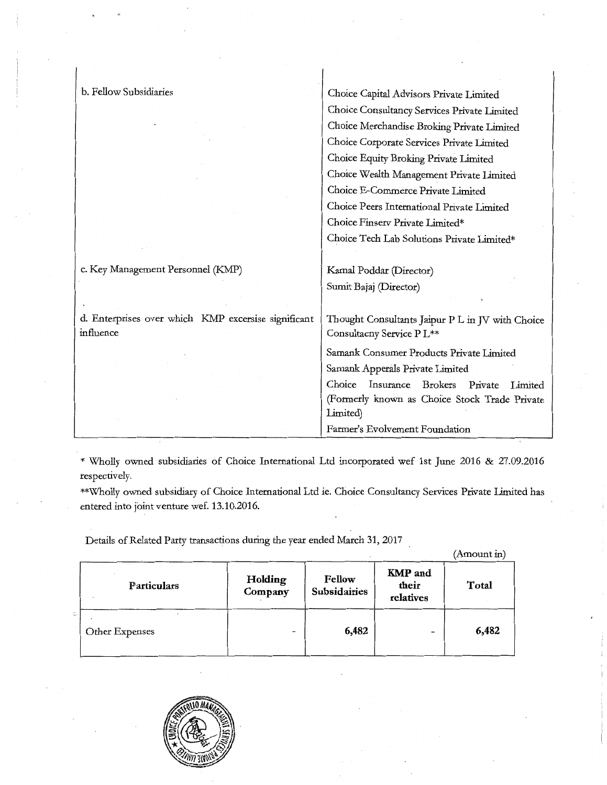| b. Fellow Subsidiaries                              | Choice Capital Advisors Private Limited                     |
|-----------------------------------------------------|-------------------------------------------------------------|
|                                                     | Choice Consultancy Services Private Limited                 |
|                                                     | Choice Merchandise Broking Private Limited                  |
|                                                     | Choice Corporate Services Private Limited                   |
|                                                     | Choice Equity Broking Private Limited                       |
|                                                     | Choice Wealth Management Private Limited                    |
|                                                     | Choice E-Commerce Private Limited                           |
|                                                     | Choice Peers International Private Limited                  |
|                                                     | Choice Finserv Private Limited*                             |
|                                                     | Choice Tech Lab Solutions Private Limited*                  |
|                                                     |                                                             |
| c. Key Management Personnel (KMP)                   | Kamal Poddar (Director)                                     |
|                                                     | Sumit Bajaj (Director)                                      |
|                                                     |                                                             |
| d. Enterprises over which KMP excersise significant | Thought Consultants Jaipur P L in JV with Choice            |
| influence                                           | Consultacny Service PL**                                    |
|                                                     | Samank Consumer Products Private Limited                    |
|                                                     | Samank Apperals Private Limited                             |
|                                                     | Choice<br>Insurance<br><b>Brokers</b><br>Private<br>Limited |
|                                                     | (Formerly known as Choice Stock Trade Private               |
|                                                     | Limited)                                                    |
|                                                     | Farmer's Evolvement Foundation                              |
| $\overline{\phantom{a}}$                            |                                                             |

\* Wholly owned subsidiaries of Choice International Ltd incorporated wef 1st June 2016 & 27.09.2016 respectively.

\*\*Wholly owned subsidiary of Choice International Ltd ie. Choice Consultancy Services Private Limited has entered into joint venture wef. 13.10.2016.

Details of Related Party transactions during the year ended March 31, 2017

|                |                    |                               |                                      | (Amount in) |
|----------------|--------------------|-------------------------------|--------------------------------------|-------------|
| Particulars    | Holding<br>Company | Fellow<br><b>Subsidairies</b> | <b>KMP</b> and<br>their<br>relatives | Total       |
| Other Expenses |                    | 6,482                         | $\overline{\phantom{0}}$             | 6,482       |

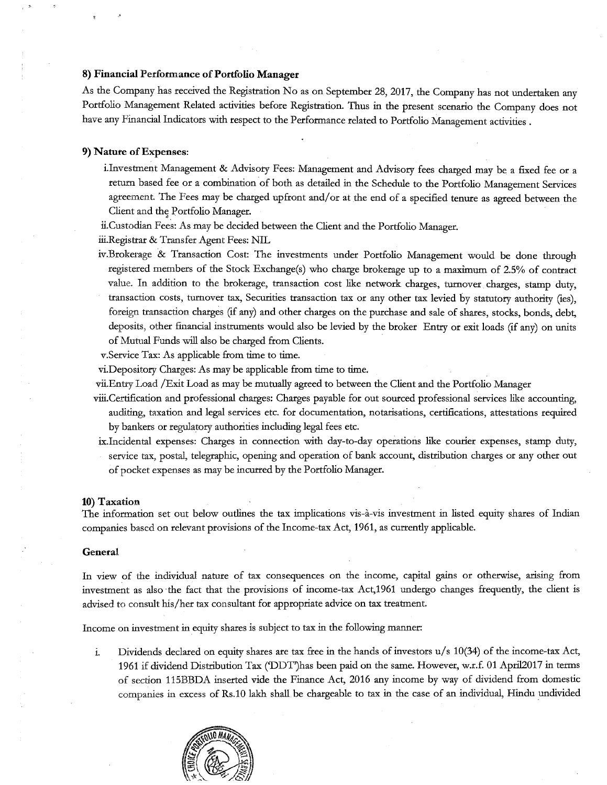#### 8) Financial Performance of Portfolio Manager

As the Company has received the Registration No as on September 28,2017, the Company has not undertaken any Portfolio Management Related activities before Registration. Thus in the present scenario the Company does not have any Financial Indicators with respect to the Performance related to Portfolio Management activities .

#### 9) Nature of Expenses:

' '

- i.Investment Management & Advisory Fees: Management and Advisory fees charged may be a fixed fee or a return based fee or a combination of both as detailed in the Schedule to the Portfolio Management Services agreement. The Fees may be charged up front and/ or at the end of a specified tenure as agreed between the Client and the Portfolio Manager.
- ii.Custodian Fees: As may be decided between the Client and the Portfolio Manager.

iii.Registrar & Transfer Agent Fees: NIL

- iv.Brokerage & Transaction Cost: The investments under Portfolio Management would be done through registered members of the Stock Exchange(s) who charge brokerage up to a maximum of 2.5% of contract value. In addition to the brokerage, transaction cost like network charges, turnover charges, stamp duty, transaction costs, turnover tax, Securities transaction tax or any other tax levied by statutory authority (ies), foreign transaction charges (if any) and other charges on the purchase and sale of shares, stocks, bonds, debt, deposits, other fmancial instruments would also be levied by the broker Entry or exit loads (if any) on units of Mutual Funds will also be charged from Clients.
- v.Service Tax: As applicable from time to time.
- vi.Depository Charges: As may be applicable from time to time.
- vii.Entry Load /Exit Load as may be mutually agreed to between the Client and the Portfolio Manager
- viii.Certification and professional charges: Charges payable for out sourced professional services like accounting, auditing, taxation and legal services etc. for documentation, notarisations, certifications, attestations required by bankers or regulatory authorities including legal fees etc.
- ix.Incidental expenses: Charges in connection with day-to-day operations like courier expenses, stamp duty, service tax, postal, telegraphic, opening and operation of bank account, distribution charges or any other out of pocket expenses as may be incurred by the Portfolio Manager.

#### 10) Taxation

The information set out below outlines the tax implications vis-a-vis investment in listed equity shares of Indian companies based on relevant provisions of the Income-tax Act, 1961, as currendy applicable.

#### General

In view of the individual nature of tax consequences on the income, capital gains or otherwise, arising from investment as also the fact that the provisions of income-tax Act,1961 undergo changes frequently, the client is advised to consult his/her tax consultant for appropriate advice on tax treatment.

Income on investment in equity shares is subject to tax in the following manner:

i. Dividends declared on equity shares are tax free in the hands of investors  $u/s$  10(34) of the income-tax Act, 1961 if dividend Distribution Tax ('DDT')has been paid on the same. However, w.r.f. 01 April2017 in terms of section 115BBDA inserted vide the Finance Act, 2016 any income by way of dividend from domestic companies in excess of Rs.10 lakh shall. be chargeable to tax in the case of an individual, Hindu undivided

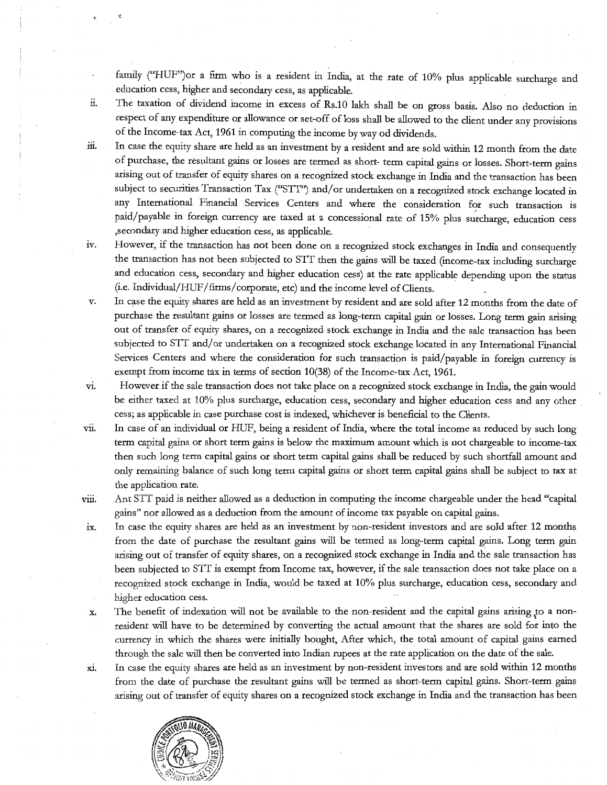family ("HUF")ot a firm who is a resident in India, at the tate of 10% plus applicable surcharge and education cess, higher and secondary cess, as applicable.

- 11. The taxation of dividend income in excess of Rs.10 lakh shall be on gross basis. Also no deduction in respect of any expenditure or allowance or set-off of loss shall be allowed to the client under any provisions of the Income-tax Act, 1961 in computing the income byway od dividends.
- iii. In case the equity share ate held as an investment by a resident and ate sold within 12 month from the date of purchase, the resultant gains or losses ate termed as short- term capital gains or losses. Short-term gains arising out of transfer of equity shares on a recognized stock exchange in India and the transaction has been subject to securities Transaction Tax ("STT") and/or undertaken on a recognized stock exchange located in any International Financial Services Centers and where the consideration for such transaction is paid/payable in foreign currency are taxed at a concessional rate of 15% plus surcharge, education cess ,secondary and higher education cess, as applicable.
- iv. However, if the transaction has not been done on a recognized stock exchanges in India and consequently the transaction has not been subjected to SIT then the gains will be taxed (income-tax including surcharge and education cess, secondary and higher education cess) at the tate applicable depending upon the status (i.e. Individual/HUF/fitms/corporate, etc) and the income level of Clients.
- v. In case the equity shares are held as an investment by resident and ate sold after 12 months from the date of purchase the resultant gains or losses ate termed as long-term capital gain ot losses. Long term gain arising out of transfer of equity shares, on a recognized stock exchange in India and the sale transaction has been subjected to STT and/or undertaken on a recognized stock exchange located in any International Financial Services Centers and where the consideration for such transaction is paid/payable in foreign currency is exempt from income tax in terms of section 10(38) of the Income-tax Act, 1961.
	- However if the sale transaction does not take place on a recognized stock exchange in India, the gain would be either taxed at 10% plus surcharge, education cess, secondary and higher education cess and any other cess; as applicable in case purchase cost is indexed, whichever is beneficial to the Clients.
- vii. In case of an individual or HUF, being a resident of India, where the total income as reduced by such long term capital gains or short term gains is below the maximum amount which is not chargeable to income-tax then such long term capital gains ot short term capital gains shall be reduced by such shortfall amount and only remaining balance of such long term capital gains or short term capital gains shall be subject to tax at the application rate.
- V111. Ant SYf paid is neither allowed as a deduction in computing the income chargeable under the head "capital gains" not allowed as a deduction from the amount of income tax payable on capital gains.
- ix. In case the equity shares are held as an investment by non-resident investors and are sold after 12 months from the date of purchase the resultant gains will be termed as long-term capital gains. Long term gain arising out of transfer of equity shares, on a recognized stock exchange in India and the sale transaction has been subjected to SIT is exempt from Income tax, however, if the sale transaction does not take place on a recognized stock exchange in India, would be taxed at 10% plus surcharge, education cess, secondary and higher education cess.
- $x$ . The benefit of indexation will not be available to the non-resident and the capital gains arising to a nonresident will have to be determined by converting the actual amount that the shares ate sold for into the currency in which the shares were initially bought, After which, the total amount of capital gains earned through the sale will then be converted into Indian rupees at the tate application on the date of the sale.
- xi. In case the equity shares are held as an investment by non-resident investors and ate sold within 12 months from the date of purchase the resultant gains will be termed as short-term capital gains. Short-term gains arising out of transfer of equity shares on a recognized stock exchange in India and the transaction has been



V1.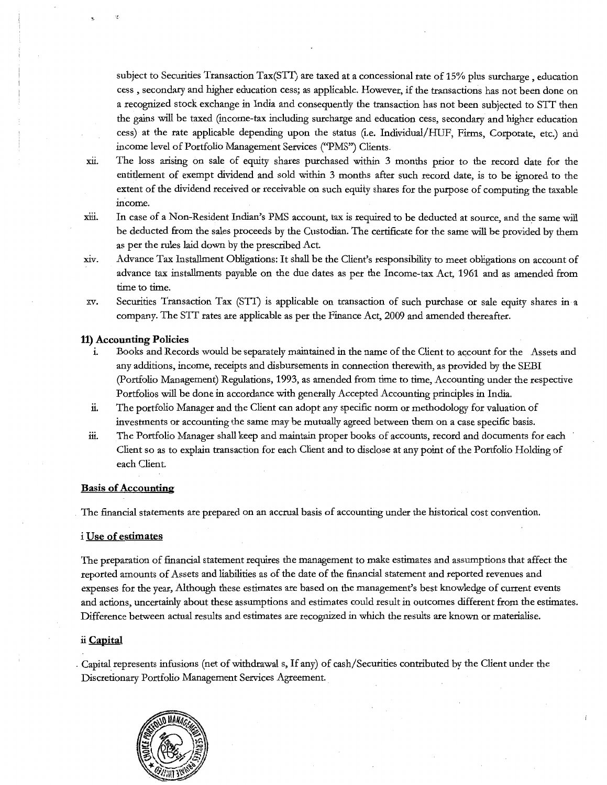subject to Securities Transaction Tax(STI) are taxed at a concessional rate of 15% plus surcharge , education cess , secondary and higher education cess; as applicable. However, if the transactions has not been done on a recognized stock exchange in India and consequently the transaction has not been subjected to SIT then the gains will be taxed (income-tax including surcharge and education cess, secondary and higher education cess) at the rate applicable depending upon the status (i.e. Individual/HUF, Firms, Corporate, etc.) and income level of Portfolio Management Services ("PMS") Clients.

- xu. The loss arising on sale of equity shares purchased within 3 months prior to the record date for the entitlement of exempt dividend and sold within 3 months after such record date, is to be ignored to the extent of the dividend received or receivable on such equity shares for the purpose of computing the taxable income.
- xiii. In case of a Non-Resident Indian's PMS account, tax is required to be deducted at source, and the same will be deducted from the sales proceeds by the Custodian. The certificate for the same will be provided by them as per the rules laid down by the prescribed Act.
- xiv. Advance Tax Installment Obligations: It shall be the Client's responsibility to meet obligations on account of advance tax installments payable on the due dates as per the Income-tax Act, 1961 and as amended from time to time.
- xv. Securities Transaction Tax (STI) is applicable on transaction of such purchase or sale equity shares in a company. The SIT rates are applicable as per the Finance Act, 2009 and amended thereafter.

## **11) Accounting Policies**

- i. Books and Records would be separately maintained in the name of the Client to account for the Assets and any additions, income, receipts and disbursements in connection therewith, as provided by the SEBI (Portfolio Management) Regulations, 1993, as amended from time to time, Accounting under the respective Portfolios will be done in accordance with generally Accepted Accounting principles in India.
- ii. The portfolio Manager and the Client can adopt any specific norm or methodology for valuation of investments or accounting the same may be mutually agreed between them on a case specific basis.
- iii. The Portfolio Manager shall keep and maintain proper books of accounts, record and documents for each Client so as to explain transaction for each Client and to disclose at any point of the Portfolio Holding of each Client.

# **Basis of Accounting**

The financial statements are prepared on an accrual basis of accounting under the historical cost convention.

### i **Use of estimates**

The preparation of financial statement requires the management to make estimates and assumptions that affect the reported amounts of Assets and liabilities as of the date of the financial statement and reported revenues and expenses for the year, Although these estimates are based on the management's best knowledge of current events and actions, uncertainly about these assumptions and estimates could result in outcomes different from the estimates. Difference between actual results and estimates are recognized in which the results are known or materialise.

### ii **Capital**

. Capital represents infusions (net of withdrawal s, If any) of cash/Securities contributed by the Client under the Discretionary Portfolio Management Services Agreement.

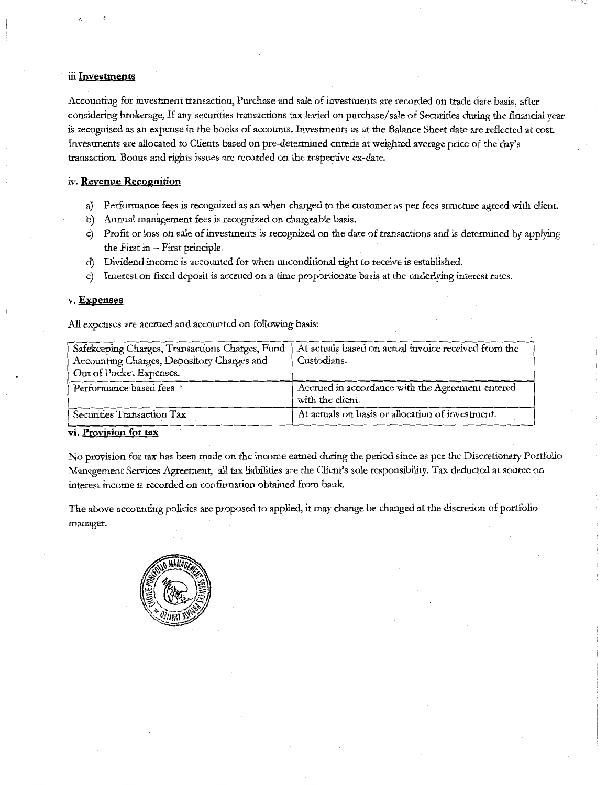## ili **Investments**

Accounting for investment transaction, Purchase and sale of investments are recorded on trade date basis, after considering brokerage, If any securities transactions tax levied on purchase/ sale of Securities during the fmancial year is recognised as an expense in the books of accounts. Investments as at the Balance Sheet date are reflected at cost. Investments are allocated to Clients based on pre-determined criteria at weighted average price of the day's transaction. Bonus and rights issues are recorded on the respective ex-date.

# iv. **Revenue Recognition**

- a) Performance fees is recognized as an when charged to the customer as per fees structure agreed with client.
- b) Annual management fees is recognized on chargeable basis.
- c) Profit or loss on sale of investments is recognized on the date of transactions and is determined by applying the First in  $-$  First principle.
- d) Dividend income is accounted for when unconditional right to receive is established.
- e) Interest on fixed deposit is accrued on a time proportionate basis at the underlying interest rates.

## v. **Expenses**

All expenses are accrued and accounted on following basis:.

| Safekeeping Charges, Transactions Charges, Fund | At actuals based on actual invoice received from the |
|-------------------------------------------------|------------------------------------------------------|
| Accounting Charges, Depository Charges and      | Custodians.                                          |
| Out of Pocket Expenses.                         |                                                      |
| Performance based fees                          | Accrued in accordance with the Agreement entered     |
|                                                 | with the client.                                     |
| Securities Transaction Tax                      | At actuals on basis or allocation of investment.     |

# **vi. Provision for tax**

No provision for tax has been made on the income earned during the period since as per the Discretionary Portfolio Management Services Agreement, all tax liabilities are the Client's sole responsibility. Tax deducted at source on interest income is recorded on confirmation obtained from bank.

The above accounting policies are proposed to applied, it may change be changed at the discretion of portfolio manager.